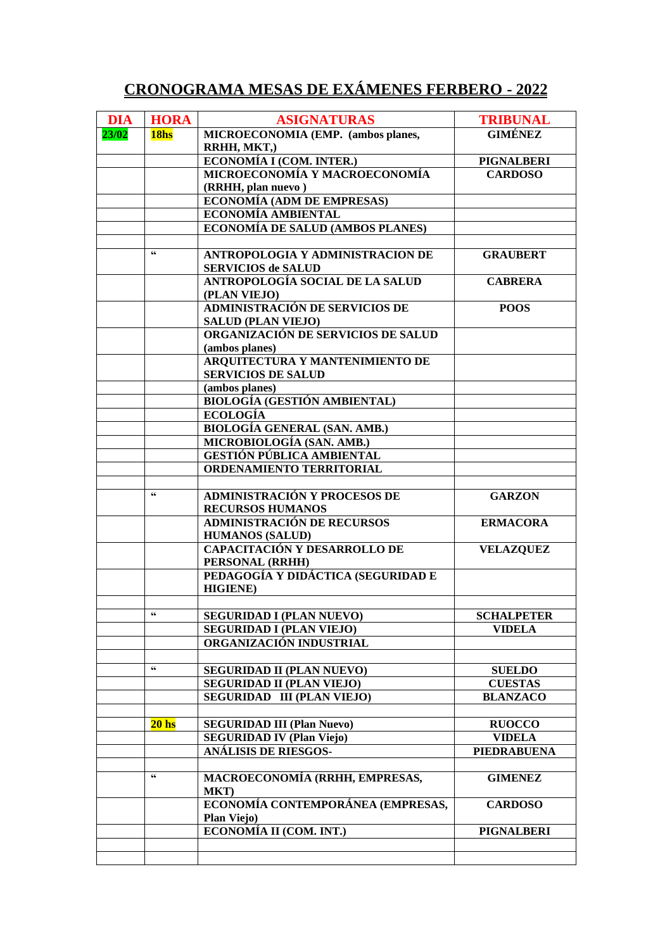## **CRONOGRAMA MESAS DE EXÁMENES FERBERO - 2022**

| <b>DIA</b> | <b>HORA</b>            | <b>ASIGNATURAS</b>                                         | <b>TRIBUNAL</b>                 |
|------------|------------------------|------------------------------------------------------------|---------------------------------|
| 23/02      | 18hs                   | MICROECONOMIA (EMP. (ambos planes,                         | <b>GIMÉNEZ</b>                  |
|            |                        | RRHH, MKT,)                                                |                                 |
|            |                        | ECONOMÍA I (COM. INTER.)                                   | <b>PIGNALBERI</b>               |
|            |                        | MICROECONOMÍA Y MACROECONOMÍA                              | <b>CARDOSO</b>                  |
|            |                        | (RRHH, plan nuevo)                                         |                                 |
|            |                        | <b>ECONOMÍA (ADM DE EMPRESAS)</b>                          |                                 |
|            |                        | ECONOMÍA AMBIENTAL                                         |                                 |
|            |                        | ECONOMÍA DE SALUD (AMBOS PLANES)                           |                                 |
|            |                        |                                                            |                                 |
|            | $\epsilon$             | ANTROPOLOGIA Y ADMINISTRACION DE                           | <b>GRAUBERT</b>                 |
|            |                        | <b>SERVICIOS de SALUD</b>                                  |                                 |
|            |                        | ANTROPOLOGÍA SOCIAL DE LA SALUD                            | <b>CABRERA</b>                  |
|            |                        | (PLAN VIEJO)                                               |                                 |
|            |                        | ADMINISTRACIÓN DE SERVICIOS DE                             | <b>POOS</b>                     |
|            |                        | <b>SALUD (PLAN VIEJO)</b>                                  |                                 |
|            |                        | ORGANIZACIÓN DE SERVICIOS DE SALUD                         |                                 |
|            |                        | (ambos planes)                                             |                                 |
|            |                        | ARQUITECTURA Y MANTENIMIENTO DE                            |                                 |
|            |                        | <b>SERVICIOS DE SALUD</b>                                  |                                 |
|            |                        | (ambos planes)                                             |                                 |
|            |                        | <b>BIOLOGÍA (GESTIÓN AMBIENTAL)</b>                        |                                 |
|            |                        | <b>ECOLOGÍA</b>                                            |                                 |
|            |                        | <b>BIOLOGÍA GENERAL (SAN. AMB.)</b>                        |                                 |
|            |                        | MICROBIOLOGÍA (SAN. AMB.)                                  |                                 |
|            |                        | <b>GESTIÓN PÚBLICA AMBIENTAL</b>                           |                                 |
|            |                        | ORDENAMIENTO TERRITORIAL                                   |                                 |
|            |                        |                                                            |                                 |
|            | $\textsf{G}\textsf{G}$ | <b>ADMINISTRACIÓN Y PROCESOS DE</b>                        | <b>GARZON</b>                   |
|            |                        | <b>RECURSOS HUMANOS</b>                                    |                                 |
|            |                        | <b>ADMINISTRACIÓN DE RECURSOS</b>                          | <b>ERMACORA</b>                 |
|            |                        | <b>HUMANOS (SALUD)</b>                                     |                                 |
|            |                        | <b>CAPACITACIÓN Y DESARROLLO DE</b>                        | <b>VELAZQUEZ</b>                |
|            |                        | PERSONAL (RRHH)                                            |                                 |
|            |                        | PEDAGOGÍA Y DIDÁCTICA (SEGURIDAD E                         |                                 |
|            |                        | <b>HIGIENE</b> )                                           |                                 |
|            |                        |                                                            |                                 |
|            |                        | <b>SEGURIDAD I (PLAN NUEVO)</b>                            | <b>SCHALPETER</b>               |
|            |                        | <b>SEGURIDAD I (PLAN VIEJO)</b><br>ORGANIZACIÓN INDUSTRIAL | <b>VIDELA</b>                   |
|            |                        |                                                            |                                 |
|            | 66                     | <b>SEGURIDAD II (PLAN NUEVO)</b>                           |                                 |
|            |                        | <b>SEGURIDAD II (PLAN VIEJO)</b>                           | <b>SUELDO</b><br><b>CUESTAS</b> |
|            |                        |                                                            |                                 |
|            |                        | <b>SEGURIDAD III (PLAN VIEJO)</b>                          | <b>BLANZACO</b>                 |
|            | 20 <sub>hs</sub>       | <b>SEGURIDAD III (Plan Nuevo)</b>                          | <b>RUOCCO</b>                   |
|            |                        | <b>SEGURIDAD IV (Plan Viejo)</b>                           | <b>VIDELA</b>                   |
|            |                        | ANÁLISIS DE RIESGOS-                                       | <b>PIEDRABUENA</b>              |
|            |                        |                                                            |                                 |
|            | 66                     | MACROECONOMÍA (RRHH, EMPRESAS,                             | <b>GIMENEZ</b>                  |
|            |                        | MKT)                                                       |                                 |
|            |                        | ECONOMÍA CONTEMPORÁNEA (EMPRESAS,                          | <b>CARDOSO</b>                  |
|            |                        | <b>Plan Viejo)</b>                                         |                                 |
|            |                        | ECONOMÍA II (COM. INT.)                                    | <b>PIGNALBERI</b>               |
|            |                        |                                                            |                                 |
|            |                        |                                                            |                                 |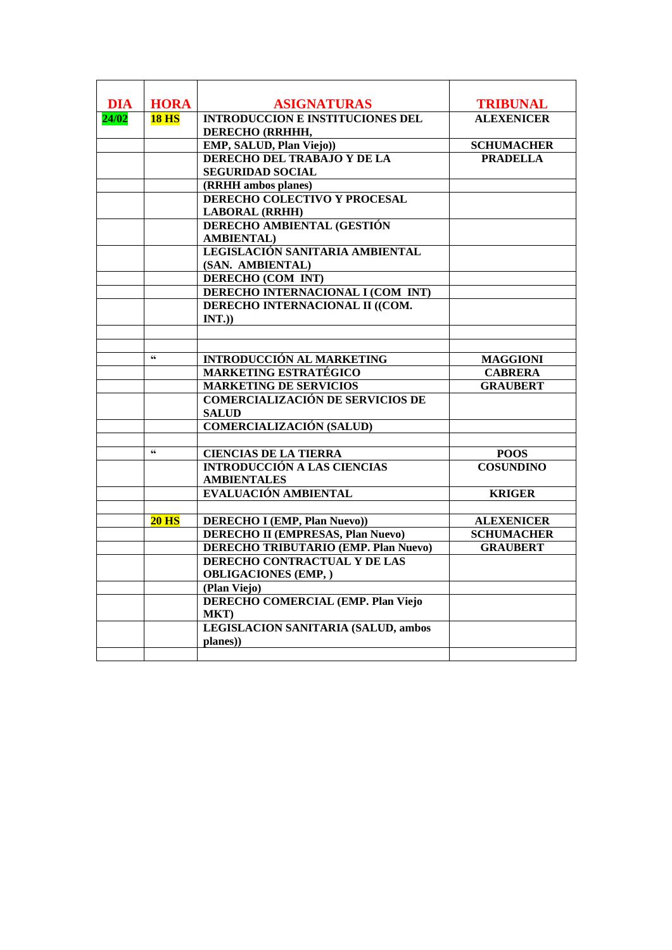| <b>DIA</b><br><b>HORA</b><br><b>ASIGNATURAS</b><br><b>TRIBUNAL</b><br><b>INTRODUCCION E INSTITUCIONES DEL</b><br><b>ALEXENICER</b><br>24/02<br><b>18 HS</b><br>DERECHO (RRHHH,<br>EMP, SALUD, Plan Viejo))<br><b>SCHUMACHER</b><br>DERECHO DEL TRABAJO Y DE LA<br><b>PRADELLA</b><br><b>SEGURIDAD SOCIAL</b><br>(RRHH ambos planes)<br>DERECHO COLECTIVO Y PROCESAL<br><b>LABORAL (RRHH)</b><br>DERECHO AMBIENTAL (GESTIÓN<br><b>AMBIENTAL</b> )<br>LEGISLACIÓN SANITARIA AMBIENTAL<br>(SAN. AMBIENTAL)<br><b>DERECHO (COM INT)</b><br>DERECHO INTERNACIONAL I (COM INT)<br>DERECHO INTERNACIONAL II ((COM.<br>INT.)<br>$\epsilon$<br><b>INTRODUCCIÓN AL MARKETING</b><br><b>MAGGIONI</b><br><b>MARKETING ESTRATÉGICO</b><br><b>CABRERA</b><br><b>MARKETING DE SERVICIOS</b><br><b>GRAUBERT</b><br><b>COMERCIALIZACIÓN DE SERVICIOS DE</b><br><b>SALUD</b><br><b>COMERCIALIZACIÓN (SALUD)</b><br>$\mathsf{G}\mathsf{G}$<br><b>CIENCIAS DE LA TIERRA</b><br><b>POOS</b><br><b>INTRODUCCIÓN A LAS CIENCIAS</b><br><b>COSUNDINO</b><br><b>AMBIENTALES</b><br>EVALUACIÓN AMBIENTAL<br><b>KRIGER</b><br><b>DERECHO I (EMP, Plan Nuevo))</b><br>$20$ HS<br><b>ALEXENICER</b><br><b>DERECHO II (EMPRESAS, Plan Nuevo)</b><br><b>SCHUMACHER</b><br><b>DERECHO TRIBUTARIO (EMP. Plan Nuevo)</b><br><b>GRAUBERT</b><br>DERECHO CONTRACTUAL Y DE LAS<br><b>OBLIGACIONES (EMP, )</b><br>(Plan Viejo)<br><b>DERECHO COMERCIAL (EMP. Plan Viejo)</b><br>MKT)<br><b>LEGISLACION SANITARIA (SALUD, ambos</b><br>planes)) |  |  |
|----------------------------------------------------------------------------------------------------------------------------------------------------------------------------------------------------------------------------------------------------------------------------------------------------------------------------------------------------------------------------------------------------------------------------------------------------------------------------------------------------------------------------------------------------------------------------------------------------------------------------------------------------------------------------------------------------------------------------------------------------------------------------------------------------------------------------------------------------------------------------------------------------------------------------------------------------------------------------------------------------------------------------------------------------------------------------------------------------------------------------------------------------------------------------------------------------------------------------------------------------------------------------------------------------------------------------------------------------------------------------------------------------------------------------------------------------------------------------------------------------------|--|--|
|                                                                                                                                                                                                                                                                                                                                                                                                                                                                                                                                                                                                                                                                                                                                                                                                                                                                                                                                                                                                                                                                                                                                                                                                                                                                                                                                                                                                                                                                                                          |  |  |
|                                                                                                                                                                                                                                                                                                                                                                                                                                                                                                                                                                                                                                                                                                                                                                                                                                                                                                                                                                                                                                                                                                                                                                                                                                                                                                                                                                                                                                                                                                          |  |  |
|                                                                                                                                                                                                                                                                                                                                                                                                                                                                                                                                                                                                                                                                                                                                                                                                                                                                                                                                                                                                                                                                                                                                                                                                                                                                                                                                                                                                                                                                                                          |  |  |
|                                                                                                                                                                                                                                                                                                                                                                                                                                                                                                                                                                                                                                                                                                                                                                                                                                                                                                                                                                                                                                                                                                                                                                                                                                                                                                                                                                                                                                                                                                          |  |  |
|                                                                                                                                                                                                                                                                                                                                                                                                                                                                                                                                                                                                                                                                                                                                                                                                                                                                                                                                                                                                                                                                                                                                                                                                                                                                                                                                                                                                                                                                                                          |  |  |
|                                                                                                                                                                                                                                                                                                                                                                                                                                                                                                                                                                                                                                                                                                                                                                                                                                                                                                                                                                                                                                                                                                                                                                                                                                                                                                                                                                                                                                                                                                          |  |  |
|                                                                                                                                                                                                                                                                                                                                                                                                                                                                                                                                                                                                                                                                                                                                                                                                                                                                                                                                                                                                                                                                                                                                                                                                                                                                                                                                                                                                                                                                                                          |  |  |
|                                                                                                                                                                                                                                                                                                                                                                                                                                                                                                                                                                                                                                                                                                                                                                                                                                                                                                                                                                                                                                                                                                                                                                                                                                                                                                                                                                                                                                                                                                          |  |  |
|                                                                                                                                                                                                                                                                                                                                                                                                                                                                                                                                                                                                                                                                                                                                                                                                                                                                                                                                                                                                                                                                                                                                                                                                                                                                                                                                                                                                                                                                                                          |  |  |
|                                                                                                                                                                                                                                                                                                                                                                                                                                                                                                                                                                                                                                                                                                                                                                                                                                                                                                                                                                                                                                                                                                                                                                                                                                                                                                                                                                                                                                                                                                          |  |  |
|                                                                                                                                                                                                                                                                                                                                                                                                                                                                                                                                                                                                                                                                                                                                                                                                                                                                                                                                                                                                                                                                                                                                                                                                                                                                                                                                                                                                                                                                                                          |  |  |
|                                                                                                                                                                                                                                                                                                                                                                                                                                                                                                                                                                                                                                                                                                                                                                                                                                                                                                                                                                                                                                                                                                                                                                                                                                                                                                                                                                                                                                                                                                          |  |  |
|                                                                                                                                                                                                                                                                                                                                                                                                                                                                                                                                                                                                                                                                                                                                                                                                                                                                                                                                                                                                                                                                                                                                                                                                                                                                                                                                                                                                                                                                                                          |  |  |
|                                                                                                                                                                                                                                                                                                                                                                                                                                                                                                                                                                                                                                                                                                                                                                                                                                                                                                                                                                                                                                                                                                                                                                                                                                                                                                                                                                                                                                                                                                          |  |  |
|                                                                                                                                                                                                                                                                                                                                                                                                                                                                                                                                                                                                                                                                                                                                                                                                                                                                                                                                                                                                                                                                                                                                                                                                                                                                                                                                                                                                                                                                                                          |  |  |
|                                                                                                                                                                                                                                                                                                                                                                                                                                                                                                                                                                                                                                                                                                                                                                                                                                                                                                                                                                                                                                                                                                                                                                                                                                                                                                                                                                                                                                                                                                          |  |  |
|                                                                                                                                                                                                                                                                                                                                                                                                                                                                                                                                                                                                                                                                                                                                                                                                                                                                                                                                                                                                                                                                                                                                                                                                                                                                                                                                                                                                                                                                                                          |  |  |
|                                                                                                                                                                                                                                                                                                                                                                                                                                                                                                                                                                                                                                                                                                                                                                                                                                                                                                                                                                                                                                                                                                                                                                                                                                                                                                                                                                                                                                                                                                          |  |  |
|                                                                                                                                                                                                                                                                                                                                                                                                                                                                                                                                                                                                                                                                                                                                                                                                                                                                                                                                                                                                                                                                                                                                                                                                                                                                                                                                                                                                                                                                                                          |  |  |
|                                                                                                                                                                                                                                                                                                                                                                                                                                                                                                                                                                                                                                                                                                                                                                                                                                                                                                                                                                                                                                                                                                                                                                                                                                                                                                                                                                                                                                                                                                          |  |  |
|                                                                                                                                                                                                                                                                                                                                                                                                                                                                                                                                                                                                                                                                                                                                                                                                                                                                                                                                                                                                                                                                                                                                                                                                                                                                                                                                                                                                                                                                                                          |  |  |
|                                                                                                                                                                                                                                                                                                                                                                                                                                                                                                                                                                                                                                                                                                                                                                                                                                                                                                                                                                                                                                                                                                                                                                                                                                                                                                                                                                                                                                                                                                          |  |  |
|                                                                                                                                                                                                                                                                                                                                                                                                                                                                                                                                                                                                                                                                                                                                                                                                                                                                                                                                                                                                                                                                                                                                                                                                                                                                                                                                                                                                                                                                                                          |  |  |
|                                                                                                                                                                                                                                                                                                                                                                                                                                                                                                                                                                                                                                                                                                                                                                                                                                                                                                                                                                                                                                                                                                                                                                                                                                                                                                                                                                                                                                                                                                          |  |  |
|                                                                                                                                                                                                                                                                                                                                                                                                                                                                                                                                                                                                                                                                                                                                                                                                                                                                                                                                                                                                                                                                                                                                                                                                                                                                                                                                                                                                                                                                                                          |  |  |
|                                                                                                                                                                                                                                                                                                                                                                                                                                                                                                                                                                                                                                                                                                                                                                                                                                                                                                                                                                                                                                                                                                                                                                                                                                                                                                                                                                                                                                                                                                          |  |  |
|                                                                                                                                                                                                                                                                                                                                                                                                                                                                                                                                                                                                                                                                                                                                                                                                                                                                                                                                                                                                                                                                                                                                                                                                                                                                                                                                                                                                                                                                                                          |  |  |
|                                                                                                                                                                                                                                                                                                                                                                                                                                                                                                                                                                                                                                                                                                                                                                                                                                                                                                                                                                                                                                                                                                                                                                                                                                                                                                                                                                                                                                                                                                          |  |  |
|                                                                                                                                                                                                                                                                                                                                                                                                                                                                                                                                                                                                                                                                                                                                                                                                                                                                                                                                                                                                                                                                                                                                                                                                                                                                                                                                                                                                                                                                                                          |  |  |
|                                                                                                                                                                                                                                                                                                                                                                                                                                                                                                                                                                                                                                                                                                                                                                                                                                                                                                                                                                                                                                                                                                                                                                                                                                                                                                                                                                                                                                                                                                          |  |  |
|                                                                                                                                                                                                                                                                                                                                                                                                                                                                                                                                                                                                                                                                                                                                                                                                                                                                                                                                                                                                                                                                                                                                                                                                                                                                                                                                                                                                                                                                                                          |  |  |
|                                                                                                                                                                                                                                                                                                                                                                                                                                                                                                                                                                                                                                                                                                                                                                                                                                                                                                                                                                                                                                                                                                                                                                                                                                                                                                                                                                                                                                                                                                          |  |  |
|                                                                                                                                                                                                                                                                                                                                                                                                                                                                                                                                                                                                                                                                                                                                                                                                                                                                                                                                                                                                                                                                                                                                                                                                                                                                                                                                                                                                                                                                                                          |  |  |
|                                                                                                                                                                                                                                                                                                                                                                                                                                                                                                                                                                                                                                                                                                                                                                                                                                                                                                                                                                                                                                                                                                                                                                                                                                                                                                                                                                                                                                                                                                          |  |  |
|                                                                                                                                                                                                                                                                                                                                                                                                                                                                                                                                                                                                                                                                                                                                                                                                                                                                                                                                                                                                                                                                                                                                                                                                                                                                                                                                                                                                                                                                                                          |  |  |
|                                                                                                                                                                                                                                                                                                                                                                                                                                                                                                                                                                                                                                                                                                                                                                                                                                                                                                                                                                                                                                                                                                                                                                                                                                                                                                                                                                                                                                                                                                          |  |  |
|                                                                                                                                                                                                                                                                                                                                                                                                                                                                                                                                                                                                                                                                                                                                                                                                                                                                                                                                                                                                                                                                                                                                                                                                                                                                                                                                                                                                                                                                                                          |  |  |
|                                                                                                                                                                                                                                                                                                                                                                                                                                                                                                                                                                                                                                                                                                                                                                                                                                                                                                                                                                                                                                                                                                                                                                                                                                                                                                                                                                                                                                                                                                          |  |  |
|                                                                                                                                                                                                                                                                                                                                                                                                                                                                                                                                                                                                                                                                                                                                                                                                                                                                                                                                                                                                                                                                                                                                                                                                                                                                                                                                                                                                                                                                                                          |  |  |
|                                                                                                                                                                                                                                                                                                                                                                                                                                                                                                                                                                                                                                                                                                                                                                                                                                                                                                                                                                                                                                                                                                                                                                                                                                                                                                                                                                                                                                                                                                          |  |  |
|                                                                                                                                                                                                                                                                                                                                                                                                                                                                                                                                                                                                                                                                                                                                                                                                                                                                                                                                                                                                                                                                                                                                                                                                                                                                                                                                                                                                                                                                                                          |  |  |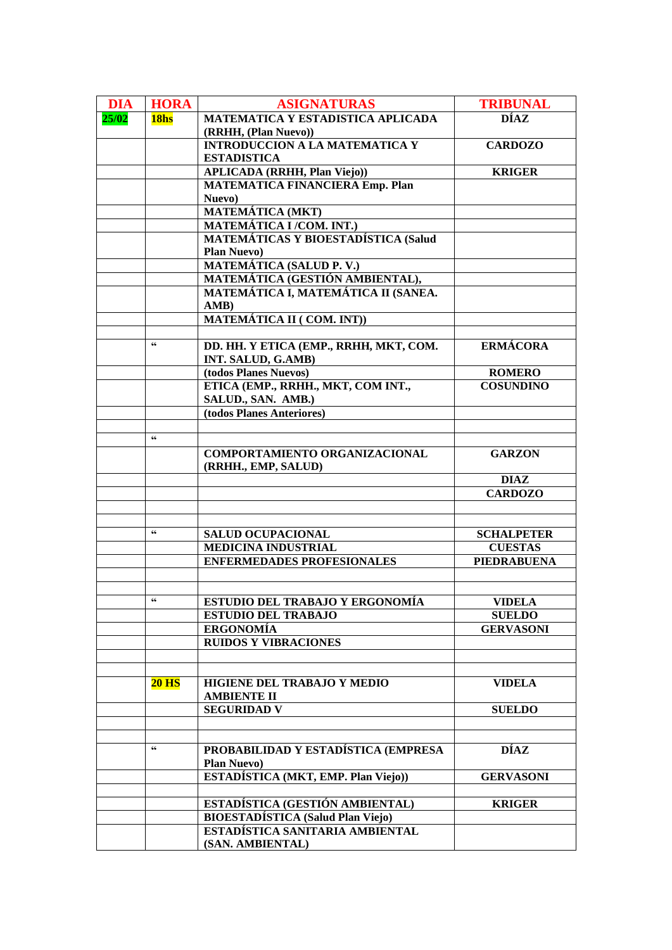| <b>DIA</b> | <b>HORA</b>            | <b>ASIGNATURAS</b>                                                          | <b>TRIBUNAL</b>    |
|------------|------------------------|-----------------------------------------------------------------------------|--------------------|
| 25/02      | 18 <sub>hs</sub>       | <b>MATEMATICA Y ESTADISTICA APLICADA</b>                                    | <b>DÍAZ</b>        |
|            |                        | (RRHH, (Plan Nuevo))                                                        |                    |
|            |                        | <b>INTRODUCCION A LA MATEMATICA Y</b>                                       | <b>CARDOZO</b>     |
|            |                        | <b>ESTADISTICA</b>                                                          |                    |
|            |                        | <b>APLICADA</b> (RRHH, Plan Viejo))                                         | <b>KRIGER</b>      |
|            |                        | <b>MATEMATICA FINANCIERA Emp. Plan</b><br>Nuevo)                            |                    |
|            |                        | <b>MATEMÁTICA (MKT)</b>                                                     |                    |
|            |                        | <b>MATEMÁTICA I/COM. INT.)</b>                                              |                    |
|            |                        | <b>MATEMÁTICAS Y BIOESTADÍSTICA (Salud</b>                                  |                    |
|            |                        | <b>Plan Nuevo)</b>                                                          |                    |
|            |                        | <b>MATEMÁTICA (SALUD P. V.)</b>                                             |                    |
|            |                        | MATEMÁTICA (GESTIÓN AMBIENTAL),                                             |                    |
|            |                        | MATEMÁTICA I, MATEMÁTICA II (SANEA.                                         |                    |
|            |                        | AMB)                                                                        |                    |
|            |                        | MATEMÁTICA II (COM. INT))                                                   |                    |
|            | $\textsf{G}\textsf{G}$ |                                                                             |                    |
|            |                        | DD. HH. Y ETICA (EMP., RRHH, MKT, COM.<br>INT. SALUD, G.AMB)                | <b>ERMÁCORA</b>    |
|            |                        | (todos Planes Nuevos)                                                       | <b>ROMERO</b>      |
|            |                        | ETICA (EMP., RRHH., MKT, COM INT.,                                          | <b>COSUNDINO</b>   |
|            |                        | SALUD., SAN. AMB.)                                                          |                    |
|            |                        | (todos Planes Anteriores)                                                   |                    |
|            |                        |                                                                             |                    |
|            | $\textsf{G}\textsf{G}$ |                                                                             |                    |
|            |                        | COMPORTAMIENTO ORGANIZACIONAL<br>(RRHH., EMP, SALUD)                        | <b>GARZON</b>      |
|            |                        |                                                                             | <b>DIAZ</b>        |
|            |                        |                                                                             | <b>CARDOZO</b>     |
|            |                        |                                                                             |                    |
|            | $\mathsf{6}\mathsf{6}$ | <b>SALUD OCUPACIONAL</b>                                                    | <b>SCHALPETER</b>  |
|            |                        | <b>MEDICINA INDUSTRIAL</b>                                                  | <b>CUESTAS</b>     |
|            |                        | <b>ENFERMEDADES PROFESIONALES</b>                                           | <b>PIEDRABUENA</b> |
|            |                        |                                                                             |                    |
|            |                        |                                                                             |                    |
|            | $\mathsf{G}\mathsf{G}$ | ESTUDIO DEL TRABAJO Y ERGONOMÍA                                             | <b>VIDELA</b>      |
|            |                        | <b>ESTUDIO DEL TRABAJO</b>                                                  | <b>SUELDO</b>      |
|            |                        | <b>ERGONOMÍA</b>                                                            | <b>GERVASONI</b>   |
|            |                        | <b>RUIDOS Y VIBRACIONES</b>                                                 |                    |
|            |                        |                                                                             |                    |
|            | <b>20 HS</b>           | HIGIENE DEL TRABAJO Y MEDIO                                                 | <b>VIDELA</b>      |
|            |                        | <b>AMBIENTE II</b>                                                          |                    |
|            |                        |                                                                             |                    |
|            |                        |                                                                             |                    |
|            |                        | <b>SEGURIDAD V</b>                                                          | <b>SUELDO</b>      |
|            |                        |                                                                             |                    |
|            | 66                     | PROBABILIDAD Y ESTADÍSTICA (EMPRESA                                         | DÍAZ               |
|            |                        | <b>Plan Nuevo</b> )                                                         |                    |
|            |                        | ESTADÍSTICA (MKT, EMP. Plan Viejo))                                         | <b>GERVASONI</b>   |
|            |                        |                                                                             |                    |
|            |                        | ESTADÍSTICA (GESTIÓN AMBIENTAL)                                             | <b>KRIGER</b>      |
|            |                        | <b>BIOESTADÍSTICA</b> (Salud Plan Viejo)<br>ESTADÍSTICA SANITARIA AMBIENTAL |                    |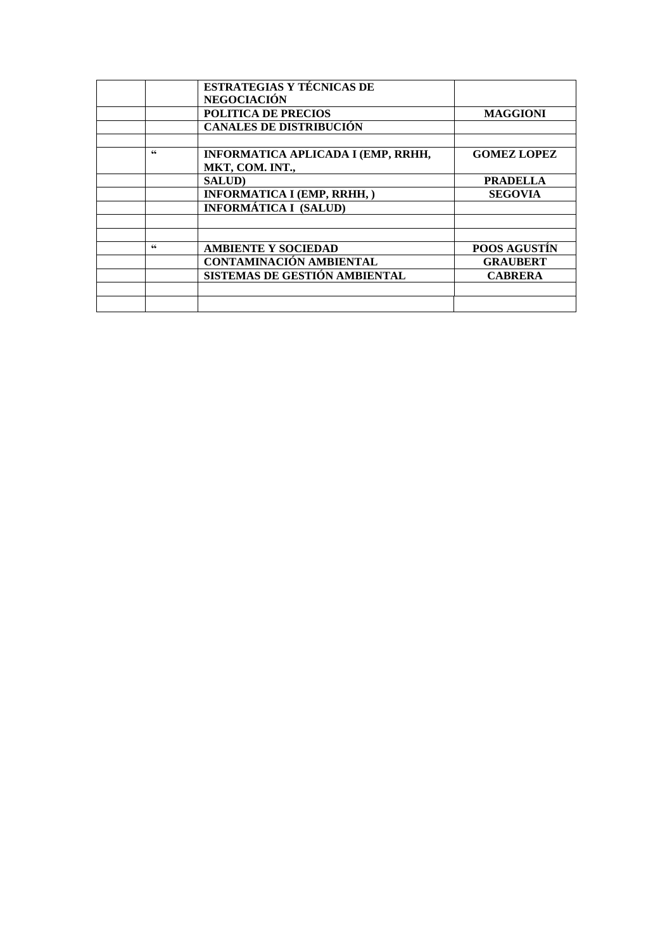|    | <b>ESTRATEGIAS Y TÉCNICAS DE</b>          |                     |
|----|-------------------------------------------|---------------------|
|    | <b>NEGOCIACIÓN</b>                        |                     |
|    | <b>POLITICA DE PRECIOS</b>                | <b>MAGGIONI</b>     |
|    | <b>CANALES DE DISTRIBUCIÓN</b>            |                     |
|    |                                           |                     |
| 66 | <b>INFORMATICA APLICADA I (EMP, RRHH,</b> | <b>GOMEZ LOPEZ</b>  |
|    | MKT, COM. INT.,                           |                     |
|    | <b>SALUD</b>                              | <b>PRADELLA</b>     |
|    | <b>INFORMATICA I (EMP, RRHH,)</b>         | <b>SEGOVIA</b>      |
|    | <b>INFORMÁTICA I (SALUD)</b>              |                     |
|    |                                           |                     |
|    |                                           |                     |
| 66 | <b>AMBIENTE Y SOCIEDAD</b>                | <b>POOS AGUSTIN</b> |
|    | <b>CONTAMINACIÓN AMBIENTAL</b>            | <b>GRAUBERT</b>     |
|    | SISTEMAS DE GESTIÓN AMBIENTAL             | <b>CABRERA</b>      |
|    |                                           |                     |
|    |                                           |                     |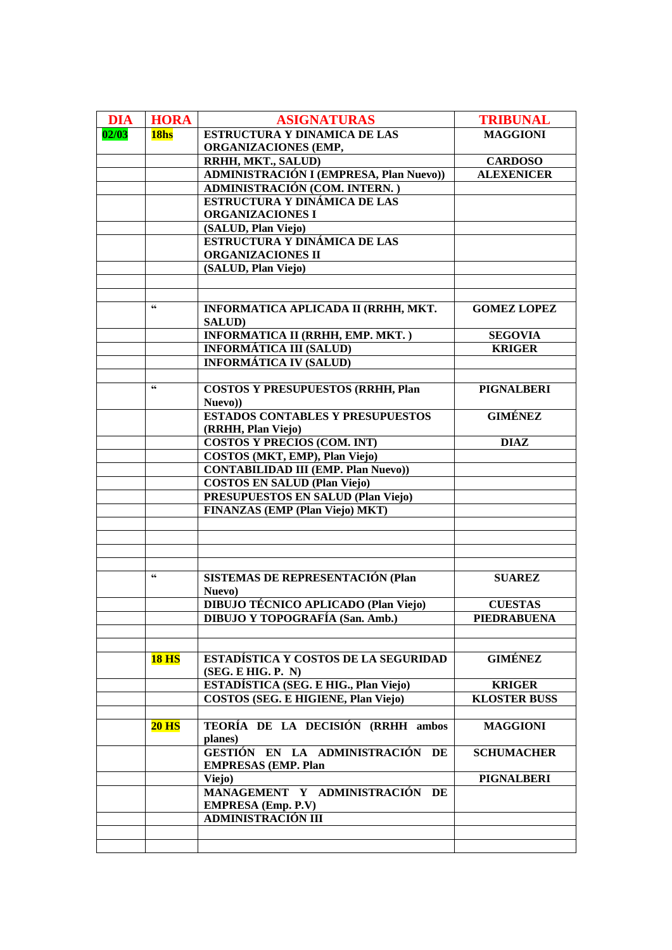| <b>DIA</b> | <b>HORA</b>  | <b>ASIGNATURAS</b>                                     | <b>TRIBUNAL</b>     |
|------------|--------------|--------------------------------------------------------|---------------------|
| 02/03      | 18hs         | <b>ESTRUCTURA Y DINAMICA DE LAS</b>                    | <b>MAGGIONI</b>     |
|            |              | <b>ORGANIZACIONES (EMP,</b>                            |                     |
|            |              | RRHH, MKT., SALUD)                                     | <b>CARDOSO</b>      |
|            |              | <b>ADMINISTRACIÓN I (EMPRESA, Plan Nuevo))</b>         | <b>ALEXENICER</b>   |
|            |              | ADMINISTRACIÓN (COM. INTERN.)                          |                     |
|            |              | ESTRUCTURA Y DINÁMICA DE LAS                           |                     |
|            |              | <b>ORGANIZACIONES I</b>                                |                     |
|            |              | (SALUD, Plan Viejo)                                    |                     |
|            |              | ESTRUCTURA Y DINÁMICA DE LAS                           |                     |
|            |              | ORGANIZACIONES II                                      |                     |
|            |              | (SALUD, Plan Viejo)                                    |                     |
|            |              |                                                        |                     |
|            |              |                                                        |                     |
|            | 66           | INFORMATICA APLICADA II (RRHH, MKT.                    | <b>GOMEZ LOPEZ</b>  |
|            |              | <b>SALUD</b> )                                         |                     |
|            |              | INFORMATICA II (RRHH, EMP. MKT.)                       | <b>SEGOVIA</b>      |
|            |              | <b>INFORMÁTICA III (SALUD)</b>                         | <b>KRIGER</b>       |
|            |              | <b>INFORMÁTICA IV (SALUD)</b>                          |                     |
|            |              |                                                        |                     |
|            | 66           | <b>COSTOS Y PRESUPUESTOS (RRHH, Plan</b>               | <b>PIGNALBERI</b>   |
|            |              | Nuevo))                                                |                     |
|            |              | <b>ESTADOS CONTABLES Y PRESUPUESTOS</b>                | <b>GIMÉNEZ</b>      |
|            |              | (RRHH, Plan Viejo)                                     |                     |
|            |              | COSTOS Y PRECIOS (COM. INT)                            | <b>DIAZ</b>         |
|            |              | COSTOS (MKT, EMP), Plan Viejo)                         |                     |
|            |              | <b>CONTABILIDAD III (EMP. Plan Nuevo))</b>             |                     |
|            |              | <b>COSTOS EN SALUD (Plan Viejo)</b>                    |                     |
|            |              | PRESUPUESTOS EN SALUD (Plan Viejo)                     |                     |
|            |              | <b>FINANZAS (EMP (Plan Viejo) MKT)</b>                 |                     |
|            |              |                                                        |                     |
|            |              |                                                        |                     |
|            |              |                                                        |                     |
|            |              |                                                        |                     |
|            | 66           | <b>SISTEMAS DE REPRESENTACIÓN (Plan</b>                | <b>SUAREZ</b>       |
|            |              | Nuevo)                                                 |                     |
|            |              | <b>DIBUJO TÉCNICO APLICADO (Plan Viejo)</b>            | <b>CUESTAS</b>      |
|            |              | <b>DIBUJO Y TOPOGRAFÍA (San. Amb.)</b>                 | <b>PIEDRABUENA</b>  |
|            |              |                                                        |                     |
|            |              |                                                        |                     |
|            | <b>18 HS</b> | ESTADÍSTICA Y COSTOS DE LA SEGURIDAD                   | <b>GIMÉNEZ</b>      |
|            |              | (SEG. E HIG. P. N)                                     |                     |
|            |              | ESTADÍSTICA (SEG. E HIG., Plan Viejo)                  | <b>KRIGER</b>       |
|            |              | COSTOS (SEG. E HIGIENE, Plan Viejo)                    | <b>KLOSTER BUSS</b> |
|            |              |                                                        |                     |
|            | $20$ HS      | TEORÍA DE LA DECISIÓN (RRHH ambos                      | <b>MAGGIONI</b>     |
|            |              | planes)                                                |                     |
|            |              | GESTIÓN EN LA ADMINISTRACIÓN DE                        | <b>SCHUMACHER</b>   |
|            |              | <b>EMPRESAS (EMP. Plan</b>                             |                     |
|            |              |                                                        |                     |
|            |              | Viejo)<br>MANAGEMENT Y ADMINISTRACIÓN DE               | <b>PIGNALBERI</b>   |
|            |              |                                                        |                     |
|            |              | <b>EMPRESA</b> (Emp. P.V)<br><b>ADMINISTRACIÓN III</b> |                     |
|            |              |                                                        |                     |
|            |              |                                                        |                     |
|            |              |                                                        |                     |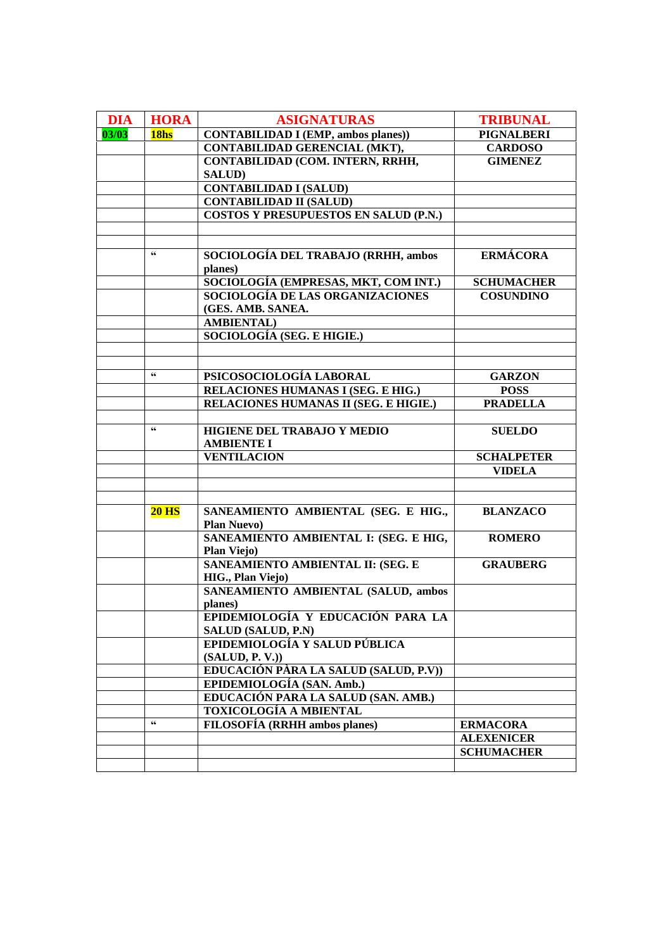| <b>DIA</b> | <b>HORA</b>            | <b>ASIGNATURAS</b>                                             | <b>TRIBUNAL</b>   |
|------------|------------------------|----------------------------------------------------------------|-------------------|
| 03/03      | 18hs                   | <b>CONTABILIDAD I (EMP, ambos planes))</b>                     | <b>PIGNALBERI</b> |
|            |                        | <b>CONTABILIDAD GERENCIAL (MKT),</b>                           | <b>CARDOSO</b>    |
|            |                        | CONTABILIDAD (COM. INTERN, RRHH,                               | <b>GIMENEZ</b>    |
|            |                        | <b>SALUD)</b>                                                  |                   |
|            |                        | <b>CONTABILIDAD I (SALUD)</b>                                  |                   |
|            |                        | <b>CONTABILIDAD II (SALUD)</b>                                 |                   |
|            |                        | COSTOS Y PRESUPUESTOS EN SALUD (P.N.)                          |                   |
|            |                        |                                                                |                   |
|            |                        |                                                                |                   |
|            | $\textsf{G}\textsf{G}$ | SOCIOLOGÍA DEL TRABAJO (RRHH, ambos<br>planes)                 | <b>ERMÁCORA</b>   |
|            |                        | SOCIOLOGÍA (EMPRESAS, MKT, COM INT.)                           | <b>SCHUMACHER</b> |
|            |                        | SOCIOLOGÍA DE LAS ORGANIZACIONES                               | <b>COSUNDINO</b>  |
|            |                        | (GES. AMB. SANEA.                                              |                   |
|            |                        | <b>AMBIENTAL</b> )                                             |                   |
|            |                        | SOCIOLOGÍA (SEG. E HIGIE.)                                     |                   |
|            |                        |                                                                |                   |
|            |                        |                                                                |                   |
|            | $\mathbf{66}$          | PSICOSOCIOLOGÍA LABORAL                                        | <b>GARZON</b>     |
|            |                        | RELACIONES HUMANAS I (SEG. E HIG.)                             | <b>POSS</b>       |
|            |                        | RELACIONES HUMANAS II (SEG. E HIGIE.)                          | <b>PRADELLA</b>   |
|            | $\mathsf{G}\mathsf{G}$ |                                                                |                   |
|            |                        | HIGIENE DEL TRABAJO Y MEDIO<br><b>AMBIENTE I</b>               | <b>SUELDO</b>     |
|            |                        | <b>VENTILACION</b>                                             | <b>SCHALPETER</b> |
|            |                        |                                                                | <b>VIDELA</b>     |
|            |                        |                                                                |                   |
|            |                        |                                                                |                   |
|            | <b>20 HS</b>           | SANEAMIENTO AMBIENTAL (SEG. E HIG.,<br><b>Plan Nuevo</b> )     | <b>BLANZACO</b>   |
|            |                        | SANEAMIENTO AMBIENTAL I: (SEG. E HIG,<br><b>Plan Viejo)</b>    | <b>ROMERO</b>     |
|            |                        | SANEAMIENTO AMBIENTAL II: (SEG. E<br><b>HIG., Plan Viejo)</b>  | <b>GRAUBERG</b>   |
|            |                        | SANEAMIENTO AMBIENTAL (SALUD, ambos<br>planes)                 |                   |
|            |                        | EPIDEMIOLOGÍA Y EDUCACIÓN PARA LA<br><b>SALUD (SALUD, P.N)</b> |                   |
|            |                        | EPIDEMIOLOGÍA Y SALUD PÚBLICA                                  |                   |
|            |                        | (SALUD, P. V.)                                                 |                   |
|            |                        | EDUCACIÓN PÀRA LA SALUD (SALUD, P.V))                          |                   |
|            |                        | EPIDEMIOLOGÍA (SAN. Amb.)                                      |                   |
|            |                        | EDUCACIÓN PARA LA SALUD (SAN. AMB.)                            |                   |
|            |                        | <b>TOXICOLOGÍA A MBIENTAL</b>                                  |                   |
|            | $\textsf{G}\textsf{G}$ | <b>FILOSOFÍA (RRHH ambos planes)</b>                           | <b>ERMACORA</b>   |
|            |                        |                                                                | <b>ALEXENICER</b> |
|            |                        |                                                                | <b>SCHUMACHER</b> |
|            |                        |                                                                |                   |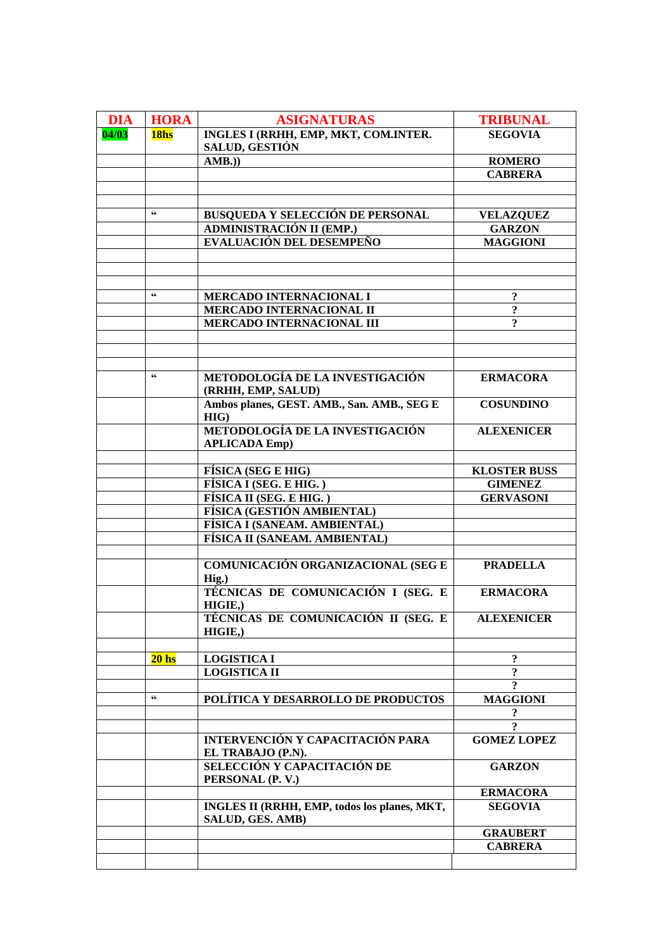| <b>DIA</b> | <b>HORA</b>            | <b>ASIGNATURAS</b>                                                  | <b>TRIBUNAL</b>                       |
|------------|------------------------|---------------------------------------------------------------------|---------------------------------------|
| 04/03      | 18hs                   | INGLES I (RRHH, EMP, MKT, COM.INTER.                                | <b>SEGOVIA</b>                        |
|            |                        | <b>SALUD, GESTIÓN</b>                                               |                                       |
|            |                        | AMB.)                                                               | <b>ROMERO</b>                         |
|            |                        |                                                                     | <b>CABRERA</b>                        |
|            |                        |                                                                     |                                       |
|            | $\textsf{G}\textsf{G}$ |                                                                     |                                       |
|            |                        | <b>BUSQUEDA Y SELECCIÓN DE PERSONAL</b><br>ADMINISTRACIÓN II (EMP.) | <b>VELAZQUEZ</b><br><b>GARZON</b>     |
|            |                        | EVALUACIÓN DEL DESEMPEÑO                                            | <b>MAGGIONI</b>                       |
|            |                        |                                                                     |                                       |
|            |                        |                                                                     |                                       |
|            |                        |                                                                     |                                       |
|            | $\textsf{G}\textsf{G}$ | MERCADO INTERNACIONAL I                                             | $\boldsymbol{\mathsf{?}}$             |
|            |                        | MERCADO INTERNACIONAL II                                            | $\overline{\mathbf{?}}$               |
|            |                        | <b>MERCADO INTERNACIONAL III</b>                                    | $\overline{?}$                        |
|            |                        |                                                                     |                                       |
|            |                        |                                                                     |                                       |
|            | $\mathsf{6}\mathsf{6}$ |                                                                     |                                       |
|            |                        | METODOLOGÍA DE LA INVESTIGACIÓN<br>(RRHH, EMP, SALUD)               | <b>ERMACORA</b>                       |
|            |                        | Ambos planes, GEST. AMB., San. AMB., SEG E<br>$HIG$ )               | <b>COSUNDINO</b>                      |
|            |                        | METODOLOGÍA DE LA INVESTIGACIÓN<br><b>APLICADA Emp)</b>             | <b>ALEXENICER</b>                     |
|            |                        |                                                                     |                                       |
|            |                        | <b>FÍSICA (SEG E HIG)</b><br>FÍSICA I (SEG. E HIG.)                 | <b>KLOSTER BUSS</b><br><b>GIMENEZ</b> |
|            |                        | FÍSICA II (SEG. E HIG.)                                             | <b>GERVASONI</b>                      |
|            |                        | FÍSICA (GESTIÓN AMBIENTAL)                                          |                                       |
|            |                        | FÍSICA I (SANEAM. AMBIENTAL)                                        |                                       |
|            |                        | FÍSICA II (SANEAM. AMBIENTAL)                                       |                                       |
|            |                        |                                                                     |                                       |
|            |                        | <b>COMUNICACIÓN ORGANIZACIONAL (SEG E</b><br>Hig.)                  | <b>PRADELLA</b>                       |
|            |                        | TÉCNICAS DE COMUNICACIÓN I (SEG. E<br>HIGIE,                        | <b>ERMACORA</b>                       |
|            |                        | TÉCNICAS DE COMUNICACIÓN II (SEG. E<br>HIGIE,                       | <b>ALEXENICER</b>                     |
|            |                        |                                                                     |                                       |
|            | 20 <sub>hs</sub>       | <b>LOGISTICA I</b>                                                  | $\ddot{\textbf{?}}$                   |
|            |                        | <b>LOGISTICA II</b>                                                 | $\ddot{\mathbf{c}}$                   |
|            | $\textsf{G}\textsf{G}$ |                                                                     | $\overline{?}$                        |
|            |                        | POLÍTICA Y DESARROLLO DE PRODUCTOS                                  | <b>MAGGIONI</b>                       |
|            |                        |                                                                     | $\ddot{\mathbf{.}}$<br>$\overline{?}$ |
|            |                        | <b>INTERVENCIÓN Y CAPACITACIÓN PARA</b>                             | <b>GOMEZ LOPEZ</b>                    |
|            |                        | EL TRABAJO (P.N).                                                   |                                       |
|            |                        | SELECCIÓN Y CAPACITACIÓN DE                                         | <b>GARZON</b>                         |
|            |                        | PERSONAL (P. V.)                                                    |                                       |
|            |                        |                                                                     | <b>ERMACORA</b>                       |
|            |                        | INGLES II (RRHH, EMP, todos los planes, MKT,<br>SALUD, GES. AMB)    | <b>SEGOVIA</b>                        |
|            |                        |                                                                     | <b>GRAUBERT</b>                       |
|            |                        |                                                                     | <b>CABRERA</b>                        |
|            |                        |                                                                     |                                       |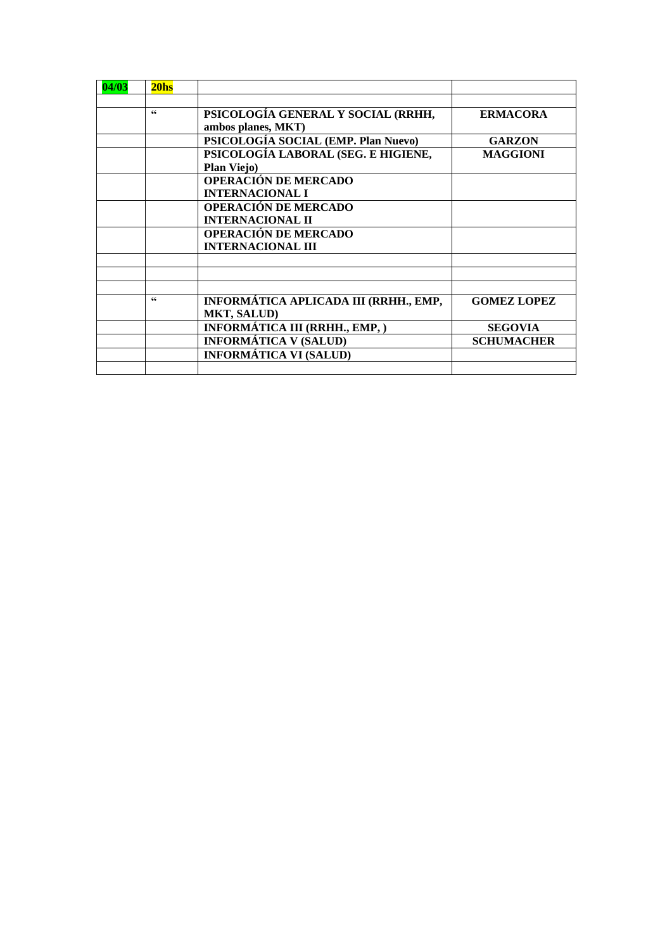| 04/03 | 20 <sub>hs</sub> |                                                          |                    |
|-------|------------------|----------------------------------------------------------|--------------------|
|       | 66               |                                                          |                    |
|       |                  | PSICOLOGÍA GENERAL Y SOCIAL (RRHH,<br>ambos planes, MKT) | <b>ERMACORA</b>    |
|       |                  | PSICOLOGÍA SOCIAL (EMP. Plan Nuevo)                      | <b>GARZON</b>      |
|       |                  | PSICOLOGÍA LABORAL (SEG. E HIGIENE,                      | <b>MAGGIONI</b>    |
|       |                  | <b>Plan Viejo)</b>                                       |                    |
|       |                  | <b>OPERACIÓN DE MERCADO</b>                              |                    |
|       |                  | <b>INTERNACIONAL I</b>                                   |                    |
|       |                  | OPERACIÓN DE MERCADO                                     |                    |
|       |                  | <b>INTERNACIONAL II</b>                                  |                    |
|       |                  | <b>OPERACIÓN DE MERCADO</b>                              |                    |
|       |                  | <b>INTERNACIONAL III</b>                                 |                    |
|       |                  |                                                          |                    |
|       |                  |                                                          |                    |
|       | 66               | INFORMÁTICA APLICADA III (RRHH., EMP,                    | <b>GOMEZ LOPEZ</b> |
|       |                  | <b>MKT, SALUD)</b>                                       |                    |
|       |                  | INFORMÁTICA III (RRHH., EMP, )                           | <b>SEGOVIA</b>     |
|       |                  | <b>INFORMÁTICA V (SALUD)</b>                             | <b>SCHUMACHER</b>  |
|       |                  | <b>INFORMÁTICA VI (SALUD)</b>                            |                    |
|       |                  |                                                          |                    |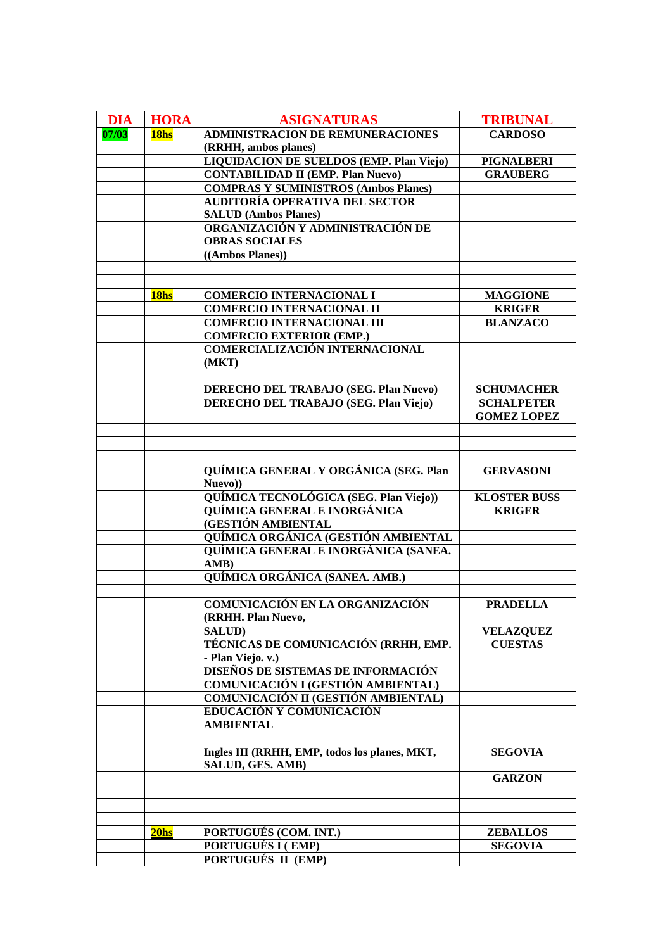| <b>DIA</b> | <b>HORA</b>      | <b>ASIGNATURAS</b>                            | <b>TRIBUNAL</b>     |
|------------|------------------|-----------------------------------------------|---------------------|
| 07/03      | 18hs             | <b>ADMINISTRACION DE REMUNERACIONES</b>       | <b>CARDOSO</b>      |
|            |                  | (RRHH, ambos planes)                          |                     |
|            |                  |                                               |                     |
|            |                  | LIQUIDACION DE SUELDOS (EMP. Plan Viejo)      | <b>PIGNALBERI</b>   |
|            |                  | <b>CONTABILIDAD II (EMP. Plan Nuevo)</b>      | <b>GRAUBERG</b>     |
|            |                  | <b>COMPRAS Y SUMINISTROS (Ambos Planes)</b>   |                     |
|            |                  | <b>AUDITORÍA OPERATIVA DEL SECTOR</b>         |                     |
|            |                  | <b>SALUD (Ambos Planes)</b>                   |                     |
|            |                  | ORGANIZACIÓN Y ADMINISTRACIÓN DE              |                     |
|            |                  | <b>OBRAS SOCIALES</b>                         |                     |
|            |                  | ((Ambos Planes))                              |                     |
|            |                  |                                               |                     |
|            |                  |                                               |                     |
|            | 18hs             | <b>COMERCIO INTERNACIONAL I</b>               | <b>MAGGIONE</b>     |
|            |                  | <b>COMERCIO INTERNACIONAL II</b>              | <b>KRIGER</b>       |
|            |                  | <b>COMERCIO INTERNACIONAL III</b>             | <b>BLANZACO</b>     |
|            |                  | <b>COMERCIO EXTERIOR (EMP.)</b>               |                     |
|            |                  | <b>COMERCIALIZACIÓN INTERNACIONAL</b>         |                     |
|            |                  | (MKT)                                         |                     |
|            |                  |                                               |                     |
|            |                  | DERECHO DEL TRABAJO (SEG. Plan Nuevo)         | <b>SCHUMACHER</b>   |
|            |                  | <b>DERECHO DEL TRABAJO (SEG. Plan Viejo)</b>  | <b>SCHALPETER</b>   |
|            |                  |                                               | <b>GOMEZ LOPEZ</b>  |
|            |                  |                                               |                     |
|            |                  |                                               |                     |
|            |                  |                                               |                     |
|            |                  | QUÍMICA GENERAL Y ORGÁNICA (SEG. Plan         | <b>GERVASONI</b>    |
|            |                  | Nuevo))                                       |                     |
|            |                  | QUÍMICA TECNOLÓGICA (SEG. Plan Viejo))        | <b>KLOSTER BUSS</b> |
|            |                  | QUÍMICA GENERAL E INORGÁNICA                  | <b>KRIGER</b>       |
|            |                  | (GESTIÓN AMBIENTAL                            |                     |
|            |                  | QUÍMICA ORGÁNICA (GESTIÓN AMBIENTAL           |                     |
|            |                  | QUÍMICA GENERAL E INORGÁNICA (SANEA.          |                     |
|            |                  | AMB)                                          |                     |
|            |                  | QUÍMICA ORGÁNICA (SANEA. AMB.)                |                     |
|            |                  |                                               |                     |
|            |                  | <b>COMUNICACIÓN EN LA ORGANIZACIÓN</b>        | <b>PRADELLA</b>     |
|            |                  | (RRHH. Plan Nuevo,                            |                     |
|            |                  | <b>SALUD</b> )                                | <b>VELAZQUEZ</b>    |
|            |                  | TÉCNICAS DE COMUNICACIÓN (RRHH, EMP.          | <b>CUESTAS</b>      |
|            |                  | - Plan Viejo. v.)                             |                     |
|            |                  | DISEÑOS DE SISTEMAS DE INFORMACIÓN            |                     |
|            |                  | <b>COMUNICACIÓN I (GESTIÓN AMBIENTAL)</b>     |                     |
|            |                  | <b>COMUNICACIÓN II (GESTIÓN AMBIENTAL)</b>    |                     |
|            |                  | EDUCACIÓN Y COMUNICACIÓN                      |                     |
|            |                  | <b>AMBIENTAL</b>                              |                     |
|            |                  |                                               |                     |
|            |                  | Ingles III (RRHH, EMP, todos los planes, MKT, | <b>SEGOVIA</b>      |
|            |                  | SALUD, GES. AMB)                              |                     |
|            |                  |                                               | <b>GARZON</b>       |
|            |                  |                                               |                     |
|            |                  |                                               |                     |
|            |                  |                                               |                     |
|            | 20 <sub>hs</sub> | PORTUGUÉS (COM. INT.)                         | <b>ZEBALLOS</b>     |
|            |                  | PORTUGUÉS I (EMP)                             | <b>SEGOVIA</b>      |
|            |                  | PORTUGUÉS II (EMP)                            |                     |
|            |                  |                                               |                     |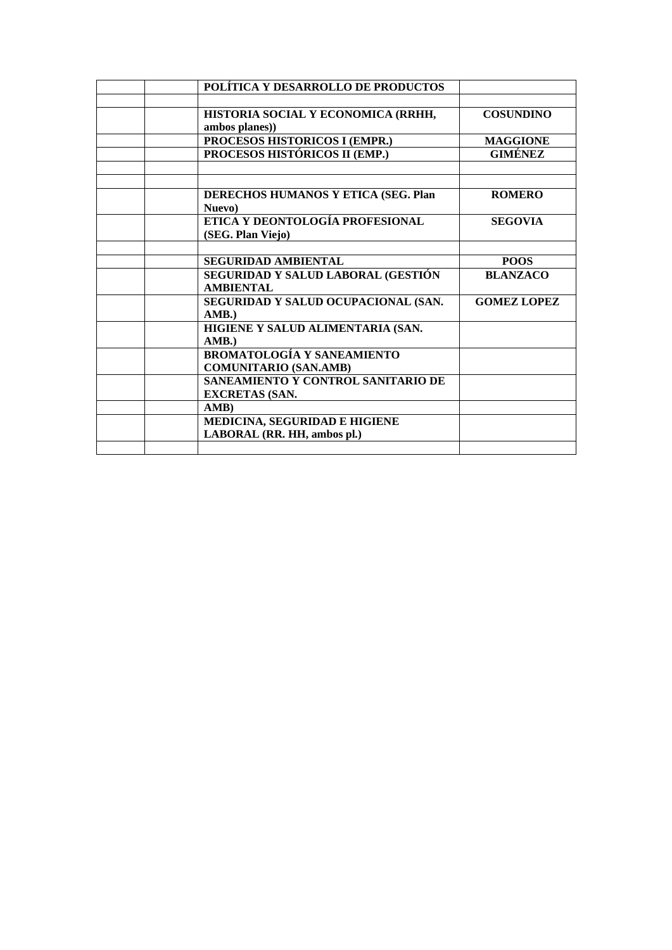| POLÍTICA Y DESARROLLO DE PRODUCTOS         |                    |
|--------------------------------------------|--------------------|
|                                            |                    |
| HISTORIA SOCIAL Y ECONOMICA (RRHH,         | <b>COSUNDINO</b>   |
| ambos planes))                             |                    |
| PROCESOS HISTORICOS I (EMPR.)              | <b>MAGGIONE</b>    |
| PROCESOS HISTÓRICOS II (EMP.)              | GIMÉNEZ            |
|                                            |                    |
|                                            |                    |
| <b>DERECHOS HUMANOS Y ETICA (SEG. Plan</b> | <b>ROMERO</b>      |
| Nuevo)                                     |                    |
| ETICA Y DEONTOLOGÍA PROFESIONAL            | <b>SEGOVIA</b>     |
| (SEG. Plan Viejo)                          |                    |
|                                            |                    |
| <b>SEGURIDAD AMBIENTAL</b>                 | <b>POOS</b>        |
| SEGURIDAD Y SALUD LABORAL (GESTIÓN         | <b>BLANZACO</b>    |
| <b>AMBIENTAL</b>                           |                    |
| SEGURIDAD Y SALUD OCUPACIONAL (SAN.        | <b>GOMEZ LOPEZ</b> |
| AMB.                                       |                    |
| HIGIENE Y SALUD ALIMENTARIA (SAN.          |                    |
| AMB.                                       |                    |
| <b>BROMATOLOGÍA Y SANEAMIENTO</b>          |                    |
| <b>COMUNITARIO (SAN.AMB)</b>               |                    |
| SANEAMIENTO Y CONTROL SANITARIO DE         |                    |
| <b>EXCRETAS (SAN.</b>                      |                    |
| AMB)                                       |                    |
| MEDICINA, SEGURIDAD E HIGIENE              |                    |
| LABORAL (RR. HH, ambos pl.)                |                    |
|                                            |                    |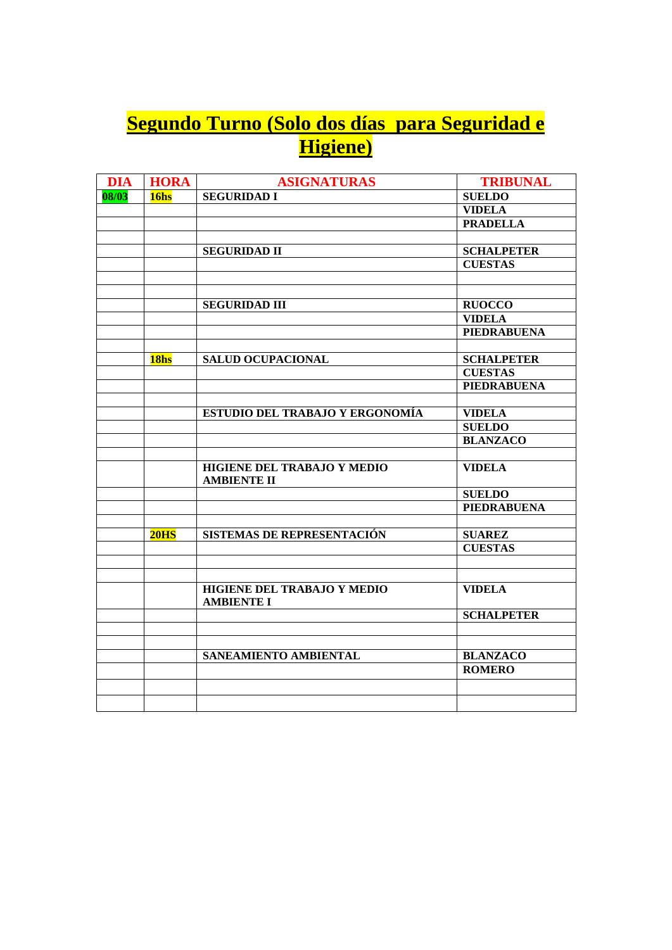## **Segundo Turno (Solo dos días para Seguridad e Higiene)**

| <b>DIA</b> | <b>HORA</b>      | <b>ASIGNATURAS</b>                                | <b>TRIBUNAL</b>    |
|------------|------------------|---------------------------------------------------|--------------------|
| 08/03      | 16 <sub>hs</sub> | <b>SEGURIDAD I</b>                                | <b>SUELDO</b>      |
|            |                  |                                                   | <b>VIDELA</b>      |
|            |                  |                                                   | <b>PRADELLA</b>    |
|            |                  |                                                   |                    |
|            |                  | <b>SEGURIDAD II</b>                               | <b>SCHALPETER</b>  |
|            |                  |                                                   | <b>CUESTAS</b>     |
|            |                  |                                                   |                    |
|            |                  |                                                   |                    |
|            |                  | <b>SEGURIDAD III</b>                              | <b>RUOCCO</b>      |
|            |                  |                                                   | <b>VIDELA</b>      |
|            |                  |                                                   | <b>PIEDRABUENA</b> |
|            |                  |                                                   |                    |
|            | 18 <sub>hs</sub> | <b>SALUD OCUPACIONAL</b>                          | <b>SCHALPETER</b>  |
|            |                  |                                                   | <b>CUESTAS</b>     |
|            |                  |                                                   | <b>PIEDRABUENA</b> |
|            |                  |                                                   |                    |
|            |                  | ESTUDIO DEL TRABAJO Y ERGONOMÍA                   | <b>VIDELA</b>      |
|            |                  |                                                   | <b>SUELDO</b>      |
|            |                  |                                                   | <b>BLANZACO</b>    |
|            |                  |                                                   |                    |
|            |                  | HIGIENE DEL TRABAJO Y MEDIO<br><b>AMBIENTE II</b> | <b>VIDELA</b>      |
|            |                  |                                                   | <b>SUELDO</b>      |
|            |                  |                                                   | <b>PIEDRABUENA</b> |
|            |                  |                                                   |                    |
|            | 20 <sub>HS</sub> | <b>SISTEMAS DE REPRESENTACIÓN</b>                 | <b>SUAREZ</b>      |
|            |                  |                                                   | <b>CUESTAS</b>     |
|            |                  |                                                   |                    |
|            |                  |                                                   |                    |
|            |                  | HIGIENE DEL TRABAJO Y MEDIO<br><b>AMBIENTE I</b>  | <b>VIDELA</b>      |
|            |                  |                                                   | <b>SCHALPETER</b>  |
|            |                  |                                                   |                    |
|            |                  |                                                   |                    |
|            |                  | <b>SANEAMIENTO AMBIENTAL</b>                      | <b>BLANZACO</b>    |
|            |                  |                                                   | <b>ROMERO</b>      |
|            |                  |                                                   |                    |
|            |                  |                                                   |                    |
|            |                  |                                                   |                    |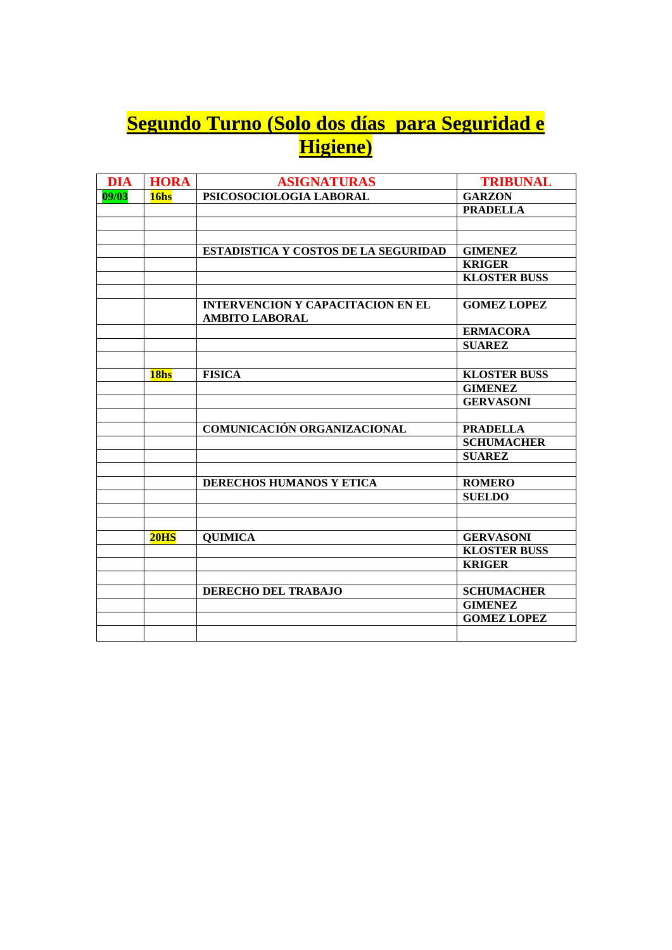## **Segundo Turno (Solo dos días para Seguridad e Higiene)**

| <b>DIA</b> | <b>HORA</b>      | <b>ASIGNATURAS</b>                                                | <b>TRIBUNAL</b>     |
|------------|------------------|-------------------------------------------------------------------|---------------------|
| 09/03      | 16hs             | PSICOSOCIOLOGIA LABORAL                                           | <b>GARZON</b>       |
|            |                  |                                                                   | <b>PRADELLA</b>     |
|            |                  |                                                                   |                     |
|            |                  |                                                                   |                     |
|            |                  | <b>ESTADISTICA Y COSTOS DE LA SEGURIDAD</b>                       | <b>GIMENEZ</b>      |
|            |                  |                                                                   | <b>KRIGER</b>       |
|            |                  |                                                                   | <b>KLOSTER BUSS</b> |
|            |                  |                                                                   |                     |
|            |                  | <b>INTERVENCION Y CAPACITACION EN EL</b><br><b>AMBITO LABORAL</b> | <b>GOMEZ LOPEZ</b>  |
|            |                  |                                                                   | <b>ERMACORA</b>     |
|            |                  |                                                                   | <b>SUAREZ</b>       |
|            |                  |                                                                   |                     |
|            | 18hs             | <b>FISICA</b>                                                     | <b>KLOSTER BUSS</b> |
|            |                  |                                                                   | <b>GIMENEZ</b>      |
|            |                  |                                                                   | <b>GERVASONI</b>    |
|            |                  |                                                                   |                     |
|            |                  | <b>COMUNICACIÓN ORGANIZACIONAL</b>                                | <b>PRADELLA</b>     |
|            |                  |                                                                   | <b>SCHUMACHER</b>   |
|            |                  |                                                                   | <b>SUAREZ</b>       |
|            |                  |                                                                   |                     |
|            |                  | DERECHOS HUMANOS Y ETICA                                          | <b>ROMERO</b>       |
|            |                  |                                                                   | <b>SUELDO</b>       |
|            |                  |                                                                   |                     |
|            |                  |                                                                   |                     |
|            | 20 <sub>HS</sub> | <b>QUIMICA</b>                                                    | <b>GERVASONI</b>    |
|            |                  |                                                                   | <b>KLOSTER BUSS</b> |
|            |                  |                                                                   | <b>KRIGER</b>       |
|            |                  |                                                                   |                     |
|            |                  | <b>DERECHO DEL TRABAJO</b>                                        | <b>SCHUMACHER</b>   |
|            |                  |                                                                   | <b>GIMENEZ</b>      |
|            |                  |                                                                   | <b>GOMEZ LOPEZ</b>  |
|            |                  |                                                                   |                     |